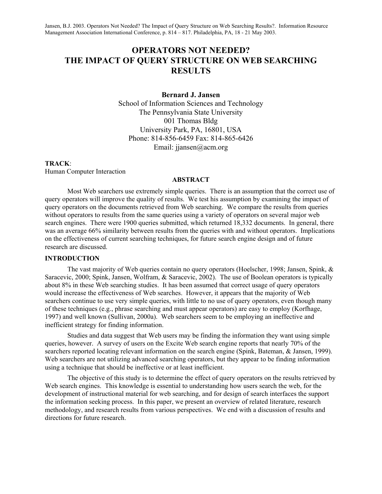# **OPERATORS NOT NEEDED? THE IMPACT OF QUERY STRUCTURE ON WEB SEARCHING RESULTS**

**Bernard J. Jansen** 

School of Information Sciences and Technology The Pennsylvania State University 001 Thomas Bldg University Park, PA, 16801, USA Phone: 814-856-6459 Fax: 814-865-6426 Email: jiansen@acm.org

### **TRACK**:

Human Computer Interaction

### **ABSTRACT**

Most Web searchers use extremely simple queries. There is an assumption that the correct use of query operators will improve the quality of results. We test his assumption by examining the impact of query operators on the documents retrieved from Web searching. We compare the results from queries without operators to results from the same queries using a variety of operators on several major web search engines. There were 1900 queries submitted, which returned 18,332 documents. In general, there was an average 66% similarity between results from the queries with and without operators. Implications on the effectiveness of current searching techniques, for future search engine design and of future research are discussed.

### **INTRODUCTION**

The vast majority of Web queries contain no query operators (Hoelscher, 1998; Jansen, Spink, & Saracevic, 2000; Spink, Jansen, Wolfram, & Saracevic, 2002). The use of Boolean operators is typically about 8% in these Web searching studies. It has been assumed that correct usage of query operators would increase the effectiveness of Web searches. However, it appears that the majority of Web searchers continue to use very simple queries, with little to no use of query operators, even though many of these techniques (e.g., phrase searching and must appear operators) are easy to employ (Korfhage, 1997) and well known (Sullivan, 2000a). Web searchers seem to be employing an ineffective and inefficient strategy for finding information.

Studies and data suggest that Web users may be finding the information they want using simple queries, however. A survey of users on the Excite Web search engine reports that nearly 70% of the searchers reported locating relevant information on the search engine (Spink, Bateman, & Jansen, 1999). Web searchers are not utilizing advanced searching operators, but they appear to be finding information using a technique that should be ineffective or at least inefficient.

The objective of this study is to determine the effect of query operators on the results retrieved by Web search engines. This knowledge is essential to understanding how users search the web, for the development of instructional material for web searching, and for design of search interfaces the support the information seeking process. In this paper, we present an overview of related literature, research methodology, and research results from various perspectives. We end with a discussion of results and directions for future research.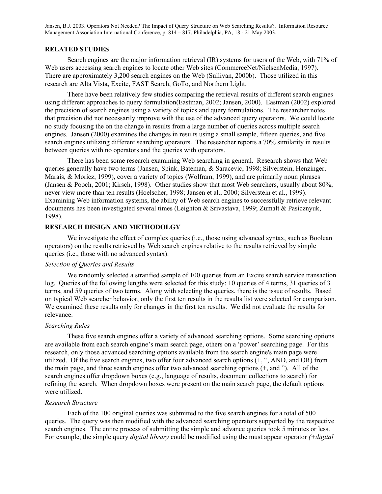### **RELATED STUDIES**

Search engines are the major information retrieval (IR) systems for users of the Web, with 71% of Web users accessing search engines to locate other Web sites (CommerceNet/NielsenMedia, 1997). There are approximately 3,200 search engines on the Web (Sullivan, 2000b). Those utilized in this research are Alta Vista, Excite, FAST Search, GoTo, and Northern Light.

There have been relatively few studies comparing the retrieval results of different search engines using different approaches to query formulation(Eastman, 2002; Jansen, 2000). Eastman (2002) explored the precision of search engines using a variety of topics and query formulations. The researcher notes that precision did not necessarily improve with the use of the advanced query operators. We could locate no study focusing the on the change in results from a large number of queries across multiple search engines. Jansen (2000) examines the changes in results using a small sample, fifteen queries, and five search engines utilizing different searching operators. The researcher reports a 70% similarity in results between queries with no operators and the queries with operators.

There has been some research examining Web searching in general. Research shows that Web queries generally have two terms (Jansen, Spink, Bateman, & Saracevic, 1998; Silverstein, Henzinger, Marais, & Moricz, 1999), cover a variety of topics (Wolfram, 1999), and are primarily noun phrases (Jansen & Pooch, 2001; Kirsch, 1998). Other studies show that most Web searchers, usually about 80%, never view more than ten results (Hoelscher, 1998; Jansen et al., 2000; Silverstein et al., 1999). Examining Web information systems, the ability of Web search engines to successfully retrieve relevant documents has been investigated several times (Leighton & Srivastava, 1999; Zumalt & Pasicznyuk, 1998).

### **RESEARCH DESIGN AND METHODOLGY**

We investigate the effect of complex queries (i.e., those using advanced syntax, such as Boolean operators) on the results retrieved by Web search engines relative to the results retrieved by simple queries (i.e., those with no advanced syntax).

### *Selection of Queries and Results*

We randomly selected a stratified sample of 100 queries from an Excite search service transaction log. Queries of the following lengths were selected for this study: 10 queries of 4 terms, 31 queries of 3 terms, and 59 queries of two terms. Along with selecting the queries, there is the issue of results. Based on typical Web searcher behavior, only the first ten results in the results list were selected for comparison. We examined these results only for changes in the first ten results. We did not evaluate the results for relevance.

### *Searching Rules*

These five search engines offer a variety of advanced searching options. Some searching options are available from each search engine's main search page, others on a 'power' searching page. For this research, only those advanced searching options available from the search engine's main page were utilized. Of the five search engines, two offer four advanced search options (+, ", AND, and OR) from the main page, and three search engines offer two advanced searching options (+, and "). All of the search engines offer dropdown boxes (e.g., language of results, document collections to search) for refining the search. When dropdown boxes were present on the main search page, the default options were utilized.

# *Research Structure*

Each of the 100 original queries was submitted to the five search engines for a total of 500 queries. The query was then modified with the advanced searching operators supported by the respective search engines. The entire process of submitting the simple and advance queries took 5 minutes or less. For example, the simple query *digital library* could be modified using the must appear operator *(+digital*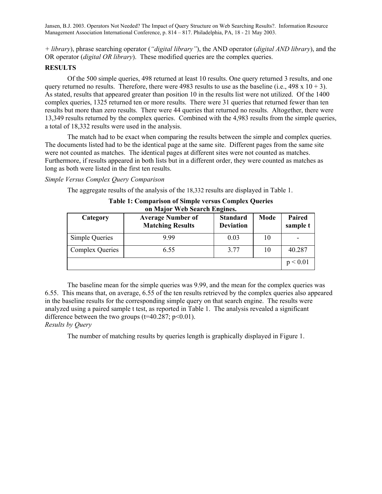*+ library*), phrase searching operator (*"digital library"*), the AND operator (*digital AND library*), and the OR operator (*digital OR library*). These modified queries are the complex queries.

### **RESULTS**

Of the 500 simple queries, 498 returned at least 10 results. One query returned 3 results, and one query returned no results. Therefore, there were 4983 results to use as the baseline (i.e.,  $498 \times 10 + 3$ ). As stated, results that appeared greater than position 10 in the results list were not utilized. Of the 1400 complex queries, 1325 returned ten or more results. There were 31 queries that returned fewer than ten results but more than zero results. There were 44 queries that returned no results. Altogether, there were 13,349 results returned by the complex queries. Combined with the 4,983 results from the simple queries, a total of 18,332 results were used in the analysis.

The match had to be exact when comparing the results between the simple and complex queries. The documents listed had to be the identical page at the same site. Different pages from the same site were not counted as matches. The identical pages at different sites were not counted as matches. Furthermore, if results appeared in both lists but in a different order, they were counted as matches as long as both were listed in the first ten results.

*Simple Versus Complex Query Comparison* 

The aggregate results of the analysis of the 18,332 results are displayed in Table 1.

| Category        | <b>Average Number of</b><br><b>Matching Results</b> | <b>Standard</b><br><b>Deviation</b> | Mode | Paired<br>sample t |  |  |
|-----------------|-----------------------------------------------------|-------------------------------------|------|--------------------|--|--|
| Simple Queries  | 999                                                 | 0.03                                | 10   |                    |  |  |
| Complex Queries | 6.55                                                | 3.77                                | 10   | 40.287             |  |  |
|                 |                                                     |                                     |      | p < 0.01           |  |  |

**Table 1: Comparison of Simple versus Complex Queries on Major Web Search Engines.** 

The baseline mean for the simple queries was 9.99, and the mean for the complex queries was 6.55. This means that, on average, 6.55 of the ten results retrieved by the complex queries also appeared in the baseline results for the corresponding simple query on that search engine. The results were analyzed using a paired sample t test, as reported in Table 1. The analysis revealed a significant difference between the two groups  $(t=40.287; p<0.01)$ .

# *Results by Query*

The number of matching results by queries length is graphically displayed in Figure 1.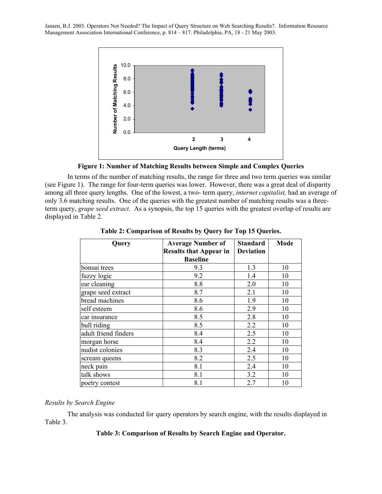

**Figure 1: Number of Matching Results between Simple and Complex Queries** 

In terms of the number of matching results, the range for three and two term queries was similar (see Figure 1). The range for four-term queries was lower. However, there was a great deal of disparity among all three query lengths. One of the lowest, a two- term query, *internet capitalist,* had an average of only 3.6 matching results. One of the queries with the greatest number of matching results was a threeterm query, *grape seed extract*. As a synopsis, the top 15 queries with the greatest overlap of results are displayed in Table 2.

| Query                | <b>Average Number of</b>      | <b>Standard</b>  | Mode |  |  |
|----------------------|-------------------------------|------------------|------|--|--|
|                      | <b>Results that Appear in</b> | <b>Deviation</b> |      |  |  |
|                      | <b>Baseline</b>               |                  |      |  |  |
| bonsai trees         | 9.3                           | 1.3              | 10   |  |  |
| fuzzy logic          | 9.2                           | 1.4              | 10   |  |  |
| ear cleaning         | 8.8                           | 2.0              | 10   |  |  |
| grape seed extract   | 8.7                           | 2.1              | 10   |  |  |
| bread machines       | 8.6                           | 1.9              | 10   |  |  |
| self esteem          | 8.6                           | 2.9              | 10   |  |  |
| car insurance        | 8.5                           | 2.8              | 10   |  |  |
| bull riding          | 8.5                           | 2.2              | 10   |  |  |
| adult friend finders | 8.4                           | 2.5              | 10   |  |  |
| morgan horse         | 8.4                           | 2.2              | 10   |  |  |
| nudist colonies      | 8.3                           | 2.4              | 10   |  |  |
| scream queens        | 8.2                           | 2.5              | 10   |  |  |
| neck pain            | 8.1                           | 2.4              | 10   |  |  |
| talk shows           | 8.1                           | 3.2              | 10   |  |  |
| poetry contest       | 8.1                           | 2.7              | 10   |  |  |

**Table 2: Comparison of Results by Query for Top 15 Queries.** 

## *Results by Search Engine*

The analysis was conducted for query operators by search engine, with the results displayed in Table 3.

### **Table 3: Comparison of Results by Search Engine and Operator.**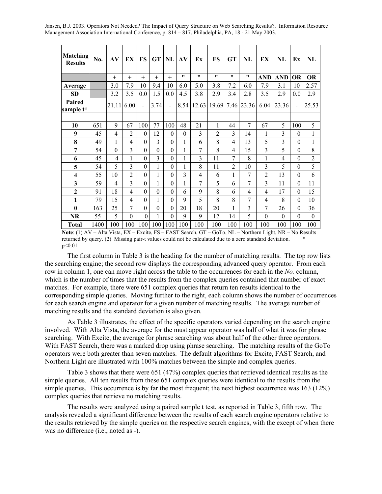| <b>Matching</b><br><b>Results</b> | No.  | AV       | EX               | <b>FS</b>        | <b>GT</b>    | NL             | AV       | Ex             | <b>FS</b>      | <b>GT</b>      | <b>NL</b>           | EX               | NL               | Ex               | NL               |
|-----------------------------------|------|----------|------------------|------------------|--------------|----------------|----------|----------------|----------------|----------------|---------------------|------------------|------------------|------------------|------------------|
|                                   |      | $+$      | $+$              | $+$              | $+$          | $+$            | 11       | 11             | $^{\bullet}$   | 11             | $^{\bullet\bullet}$ | <b>AND</b>       | <b>AND</b>       | <b>OR</b>        | <b>OR</b>        |
| Average                           |      | 3.0      | 7.9              | 10               | 9.4          | 10             | 6.0      | 5.0            | 3.8            | 7.2            | 6.0                 | 7.9              | 3.1              | 10               | 2.57             |
| <b>SD</b>                         |      | 3.2      | 3.5              | 0.0              | 1.5          | 0.0            | 4.5      | 3.8            | 2.9            | 3.4            | 2.8                 | 3.5              | 2.9              | 0.0              | 2.9              |
| Paired<br>sample t*               |      | 21.11    | 6.00             | $\blacksquare$   | 3.74         | $\blacksquare$ | 8.54     | 12.63          | 19.69          | 7.46           | 23.36               | 6.04             | 23.36            | $\blacksquare$   | 25.53            |
|                                   |      |          |                  |                  |              |                |          |                |                |                |                     |                  |                  |                  |                  |
| 10                                | 651  | 9        | 67               | 100              | 77           | 100            | 48       | 21             | 1              | 44             | 7                   | 67               | 5                | 100              | 5                |
| 9                                 | 45   | 4        | $\overline{2}$   | $\theta$         | 12           | $\theta$       | $\theta$ | 3              | $\overline{2}$ | 3              | 14                  | 1                | 3                | $\theta$         | 1                |
| 8                                 | 49   | 1        | $\overline{4}$   | $\theta$         | 3            | $\theta$       | 1        | 6              | 8              | $\overline{4}$ | 13                  | 5                | 3                | $\theta$         | $\mathbf{1}$     |
| 7                                 | 54   | $\theta$ | 3                | $\boldsymbol{0}$ | $\theta$     | $\theta$       | 1        | 7              | 8              | $\overline{4}$ | 15                  | 3                | 5                | $\theta$         | 8                |
| 6                                 | 45   | 4        | 1                | $\theta$         | 3            | $\theta$       | 1        | 3              | 11             | 7              | 8                   | 1                | 4                | $\boldsymbol{0}$ | $\overline{2}$   |
| 5                                 | 54   | 5        | 3                | $\boldsymbol{0}$ | 1            | $\theta$       | 1        | 8              | 11             | $\overline{2}$ | 10                  | 3                | 5                | $\theta$         | 5                |
| $\overline{\mathbf{4}}$           | 55   | 10       | $\overline{2}$   | $\mathbf{0}$     | $\mathbf{1}$ | $\theta$       | 3        | $\overline{4}$ | 6              | 1              | 7                   | $\overline{2}$   | 13               | $\mathbf{0}$     | 6                |
| 3                                 | 59   | 4        | 3                | $\theta$         | 1            | $\theta$       | 1        | 7              | 5              | 6              | 7                   | 3                | 11               | $\theta$         | 11               |
| $\mathbf{2}$                      | 91   | 18       | 4                | $\theta$         | $\theta$     | $\theta$       | 6        | 9              | 8              | 6              | 4                   | $\overline{4}$   | 17               | $\theta$         | 15               |
| $\mathbf{1}$                      | 79   | 15       | 4                | $\boldsymbol{0}$ | 1            | $\theta$       | 9        | 5              | 8              | 8              | 7                   | $\overline{4}$   | 8                | $\boldsymbol{0}$ | 10               |
| $\bf{0}$                          | 163  | 25       | 7                | $\boldsymbol{0}$ | $\theta$     | $\theta$       | 20       | 18             | 20             | 1              | 3                   | 7                | 26               | $\boldsymbol{0}$ | 36               |
| NR                                | 55   | 5        | $\boldsymbol{0}$ | $\mathbf{0}$     | $\mathbf{1}$ | $\theta$       | 9        | 9              | 12             | 14             | 5                   | $\boldsymbol{0}$ | $\boldsymbol{0}$ | $\boldsymbol{0}$ | $\boldsymbol{0}$ |
| <b>Total</b>                      | 1400 | 100      | 100              | 100              | 100          | 100            | 100      | 100            | 100            | 100            | 100                 | 100              | 100              | 100              | 100              |

**Note**: (1) AV – Alta Vista, EX – Excite, FS – FAST Search, GT – GoTo, NL – Northern Light, NR – No Results returned by query. (2) Missing pair-t values could not be calculated due to a zero standard deviation. \* p<0.01

The first column in Table 3 is the heading for the number of matching results. The top row lists the searching engine; the second row displays the corresponding advanced query operator. From each row in column 1, one can move right across the table to the occurrences for each in the *No.* column, which is the number of times that the results from the complex queries contained that number of exact matches. For example, there were 651 complex queries that return ten results identical to the corresponding simple queries. Moving further to the right, each column shows the number of occurrences for each search engine and operator for a given number of matching results. The average number of matching results and the standard deviation is also given.

As Table 3 illustrates, the effect of the specific operators varied depending on the search engine involved. With Alta Vista, the average for the must appear operator was half of what it was for phrase searching. With Excite, the average for phrase searching was about half of the other three operators. With FAST Search, there was a marked drop using phrase searching. The matching results of the GoTo operators were both greater than seven matches. The default algorithms for Excite, FAST Search, and Northern Light are illustrated with 100% matches between the simple and complex queries.

Table 3 shows that there were 651 (47%) complex queries that retrieved identical results as the simple queries. All ten results from these 651 complex queries were identical to the results from the simple queries. This occurrence is by far the most frequent; the next highest occurrence was 163 (12%) complex queries that retrieve no matching results.

The results were analyzed using a paired sample t test, as reported in Table 3, fifth row. The analysis revealed a significant difference between the results of each search engine operators relative to the results retrieved by the simple queries on the respective search engines, with the except of when there was no difference (i.e., noted as -).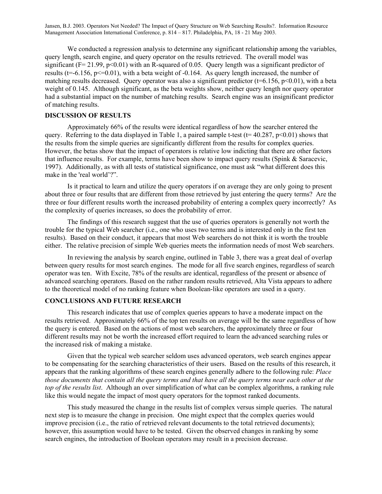We conducted a regression analysis to determine any significant relationship among the variables, query length, search engine, and query operator on the results retrieved. The overall model was significant ( $F = 21.99$ ,  $p < 0.01$ ) with an R-squared of 0.05. Query length was a significant predictor of results ( $t=-6.156$ ,  $p\leq0.01$ ), with a beta weight of  $-0.164$ . As query length increased, the number of matching results decreased. Ouery operator was also a significant predictor ( $t=6.156$ ,  $p<0.01$ ), with a beta weight of 0.145. Although significant, as the beta weights show, neither query length nor query operator had a substantial impact on the number of matching results. Search engine was an insignificant predictor of matching results.

### **DISCUSSION OF RESULTS**

Approximately 66% of the results were identical regardless of how the searcher entered the query. Referring to the data displayed in Table 1, a paired sample t-test ( $t= 40.287$ ,  $p<0.01$ ) shows that the results from the simple queries are significantly different from the results for complex queries. However, the betas show that the impact of operators is relative low indicting that there are other factors that influence results. For example, terms have been show to impact query results (Spink & Saracevic, 1997). Additionally, as with all tests of statistical significance, one must ask "what different does this make in the 'real world'?".

Is it practical to learn and utilize the query operators if on average they are only going to present about three or four results that are different from those retrieved by just entering the query terms? Are the three or four different results worth the increased probability of entering a complex query incorrectly? As the complexity of queries increases, so does the probability of error.

The findings of this research suggest that the use of queries operators is generally not worth the trouble for the typical Web searcher (i.e., one who uses two terms and is interested only in the first ten results). Based on their conduct, it appears that most Web searchers do not think it is worth the trouble either. The relative precision of simple Web queries meets the information needs of most Web searchers.

In reviewing the analysis by search engine, outlined in Table 3, there was a great deal of overlap between query results for most search engines. The mode for all five search engines, regardless of search operator was ten. With Excite, 78% of the results are identical, regardless of the present or absence of advanced searching operators. Based on the rather random results retrieved, Alta Vista appears to adhere to the theoretical model of no ranking feature when Boolean-like operators are used in a query.

### **CONCLUSIONS AND FUTURE RESEARCH**

This research indicates that use of complex queries appears to have a moderate impact on the results retrieved. Approximately 66% of the top ten results on average will be the same regardless of how the query is entered. Based on the actions of most web searchers, the approximately three or four different results may not be worth the increased effort required to learn the advanced searching rules or the increased risk of making a mistake.

Given that the typical web searcher seldom uses advanced operators, web search engines appear to be compensating for the searching characteristics of their users. Based on the results of this research, it appears that the ranking algorithms of these search engines generally adhere to the following rule: *Place those documents that contain all the query terms and that have all the query terms near each other at the top of the results list*. Although an over simplification of what can be complex algorithms, a ranking rule like this would negate the impact of most query operators for the topmost ranked documents.

This study measured the change in the results list of complex versus simple queries. The natural next step is to measure the change in precision. One might expect that the complex queries would improve precision (i.e., the ratio of retrieved relevant documents to the total retrieved documents); however, this assumption would have to be tested. Given the observed changes in ranking by some search engines, the introduction of Boolean operators may result in a precision decrease.